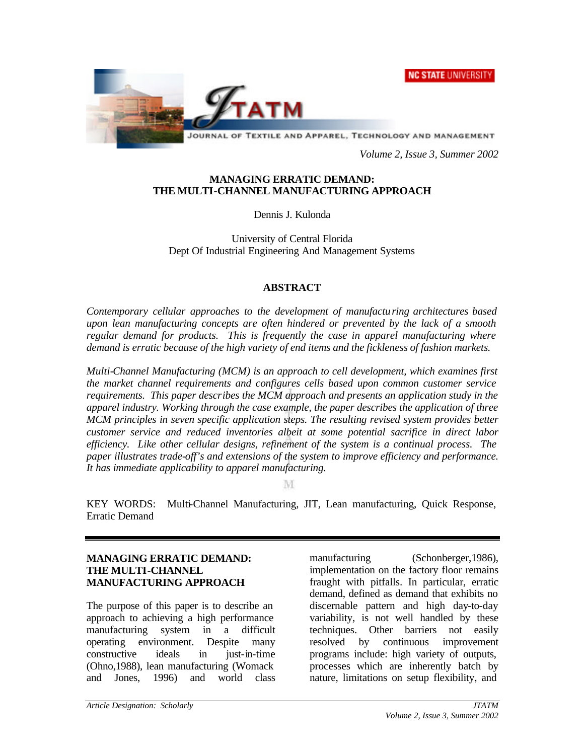**NC STATE UNIVERSITY** 



JOURNAL OF TEXTILE AND APPAREL, TECHNOLOGY AND MANAGEMENT

*Volume 2, Issue 3, Summer 2002*

#### **MANAGING ERRATIC DEMAND: THE MULTI-CHANNEL MANUFACTURING APPROACH**

Dennis J. Kulonda

University of Central Florida Dept Of Industrial Engineering And Management Systems

#### **ABSTRACT**

*Contemporary cellular approaches to the development of manufacturing architectures based upon lean manufacturing concepts are often hindered or prevented by the lack of a smooth regular demand for products. This is frequently the case in apparel manufacturing where demand is erratic because of the high variety of end items and the fickleness of fashion markets.*

*Multi-Channel Manufacturing (MCM) is an approach to cell development, which examines first the market channel requirements and configures cells based upon common customer service requirements. This paper describes the MCM approach and presents an application study in the apparel industry. Working through the case example, the paper describes the application of three MCM principles in seven specific application steps. The resulting revised system provides better customer service and reduced inventories albeit at some potential sacrifice in direct labor efficiency. Like other cellular designs, refinement of the system is a continual process. The paper illustrates trade-off's and extensions of the system to improve efficiency and performance. It has immediate applicability to apparel manufacturing.*

M

KEY WORDS: Multi-Channel Manufacturing, JIT, Lean manufacturing, Quick Response, Erratic Demand

## **MANAGING ERRATIC DEMAND: THE MULTI-CHANNEL MANUFACTURING APPROACH**

The purpose of this paper is to describe an approach to achieving a high performance manufacturing system in a difficult operating environment. Despite many constructive ideals in just-in-time (Ohno,1988), lean manufacturing (Womack and Jones, 1996) and world class manufacturing (Schonberger, 1986), implementation on the factory floor remains fraught with pitfalls. In particular, erratic demand, defined as demand that exhibits no discernable pattern and high day-to-day variability, is not well handled by these techniques. Other barriers not easily resolved by continuous improvement programs include: high variety of outputs, processes which are inherently batch by nature, limitations on setup flexibility, and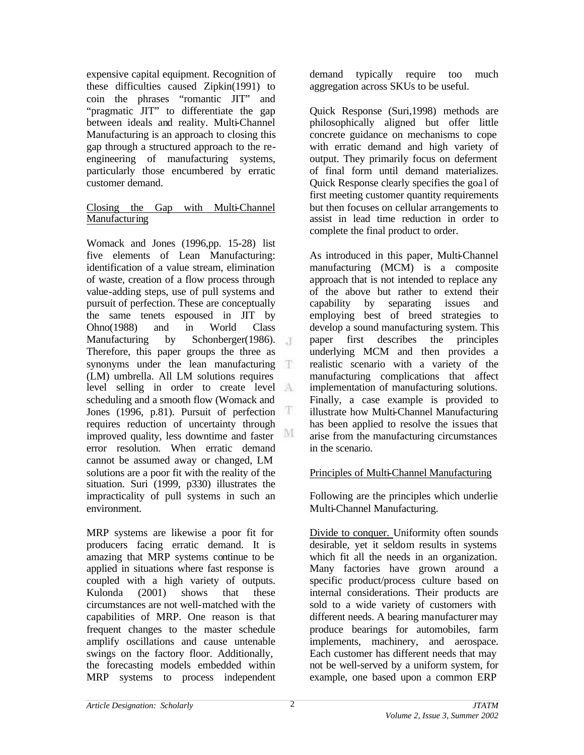expensive capital equipment. Recognition of these difficulties caused Zipkin(1991) to coin the phrases "romantic JIT" and "pragmatic JIT" to differentiate the gap between ideals and reality. Multi-Channel Manufacturing is an approach to closing this gap through a structured approach to the reengineering of manufacturing systems, particularly those encumbered by erratic customer demand.

## Closing the Gap with Multi-Channel Manufacturing

Womack and Jones (1996,pp. 15-28) list five elements of Lean Manufacturing: identification of a value stream, elimination of waste, creation of a flow process through value-adding steps, use of pull systems and pursuit of perfection. These are conceptually the same tenets espoused in JIT by Ohno(1988) and in World Class Manufacturing by Schonberger(1986). Therefore, this paper groups the three as synonyms under the lean manufacturing T (LM) umbrella. All LM solutions requires level selling in order to create level scheduling and a smooth flow (Womack and Jones (1996, p.81). Pursuit of perfection  $\mathbb T$ requires reduction of uncertainty through M improved quality, less downtime and faster error resolution. When erratic demand cannot be assumed away or changed, LM solutions are a poor fit with the reality of the situation. Suri (1999, p330) illustrates the impracticality of pull systems in such an environment.

MRP systems are likewise a poor fit for producers facing erratic demand. It is amazing that MRP systems continue to be applied in situations where fast response is coupled with a high variety of outputs. Kulonda (2001) shows that these circumstances are not well-matched with the capabilities of MRP. One reason is that frequent changes to the master schedule amplify oscillations and cause untenable swings on the factory floor. Additionally, the forecasting models embedded within MRP systems to process independent demand typically require too much aggregation across SKUs to be useful.

Quick Response (Suri,1998) methods are philosophically aligned but offer little concrete guidance on mechanisms to cope with erratic demand and high variety of output. They primarily focus on deferment of final form until demand materializes. Quick Response clearly specifies the goa l of first meeting customer quantity requirements but then focuses on cellular arrangements to assist in lead time reduction in order to complete the final product to order.

As introduced in this paper, Multi-Channel manufacturing (MCM) is a composite approach that is not intended to replace any of the above but rather to extend their capability by separating issues and employing best of breed strategies to develop a sound manufacturing system. This paper first describes the principles underlying MCM and then provides a realistic scenario with a variety of the manufacturing complications that affect implementation of manufacturing solutions. Finally, a case example is provided to illustrate how Multi-Channel Manufacturing has been applied to resolve the issues that arise from the manufacturing circumstances in the scenario.

# Principles of Multi-Channel Manufacturing

Following are the principles which underlie Multi-Channel Manufacturing.

Divide to conquer. Uniformity often sounds desirable, yet it seldom results in systems which fit all the needs in an organization. Many factories have grown around a specific product/process culture based on internal considerations. Their products are sold to a wide variety of customers with different needs. A bearing manufacturer may produce bearings for automobiles, farm implements, machinery, and aerospace. Each customer has different needs that may not be well-served by a uniform system, for example, one based upon a common ERP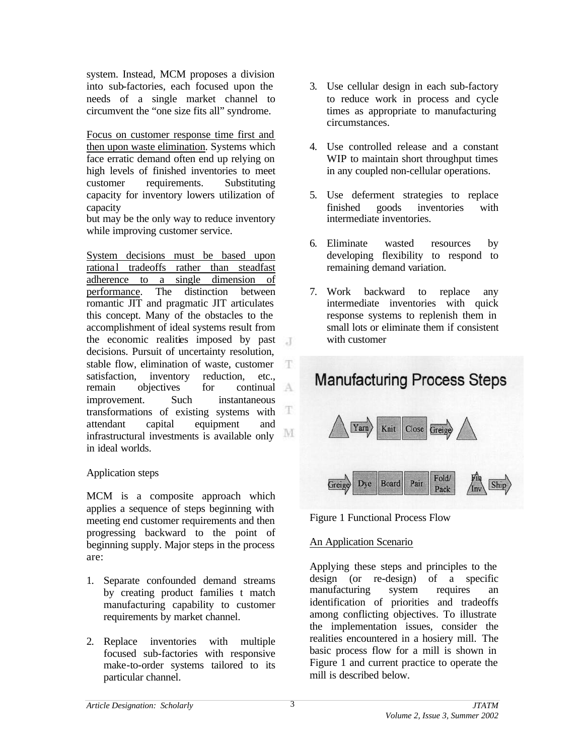system. Instead, MCM proposes a division into sub-factories, each focused upon the needs of a single market channel to circumvent the "one size fits all" syndrome.

Focus on customer response time first and then upon waste elimination. Systems which face erratic demand often end up relying on high levels of finished inventories to meet customer requirements. Substituting capacity for inventory lowers utilization of capacity

but may be the only way to reduce inventory while improving customer service.

System decisions must be based upon rational tradeoffs rather than steadfast adherence to a single dimension of performance. The distinction between romantic JIT and pragmatic JIT articulates this concept. Many of the obstacles to the accomplishment of ideal systems result from the economic realities imposed by past decisions. Pursuit of uncertainty resolution, stable flow, elimination of waste, customer Ŧ satisfaction, inventory reduction, etc.,<br>remain objectives for continual remain objectives for improvement. Such instantaneous T transformations of existing systems with attendant capital equipment and M infrastructural investments is available only in ideal worlds.

## Application steps

MCM is a composite approach which applies a sequence of steps beginning with meeting end customer requirements and then progressing backward to the point of beginning supply. Major steps in the process are:

- 1. Separate confounded demand streams by creating product families t match manufacturing capability to customer requirements by market channel.
- 2. Replace inventories with multiple focused sub-factories with responsive make-to-order systems tailored to its particular channel.
- 3. Use cellular design in each sub-factory to reduce work in process and cycle times as appropriate to manufacturing circumstances.
- 4. Use controlled release and a constant WIP to maintain short throughput times in any coupled non-cellular operations.
- 5. Use deferment strategies to replace finished goods inventories with intermediate inventories.
- 6. Eliminate wasted resources by developing flexibility to respond to remaining demand variation.
- 7. Work backward to replace any intermediate inventories with quick response systems to replenish them in small lots or eliminate them if consistent with customer



Figure 1 Functional Process Flow

## An Application Scenario

Applying these steps and principles to the design (or re-design) of a specific manufacturing system requires an identification of priorities and tradeoffs among conflicting objectives. To illustrate the implementation issues, consider the realities encountered in a hosiery mill. The basic process flow for a mill is shown in Figure 1 and current practice to operate the mill is described below.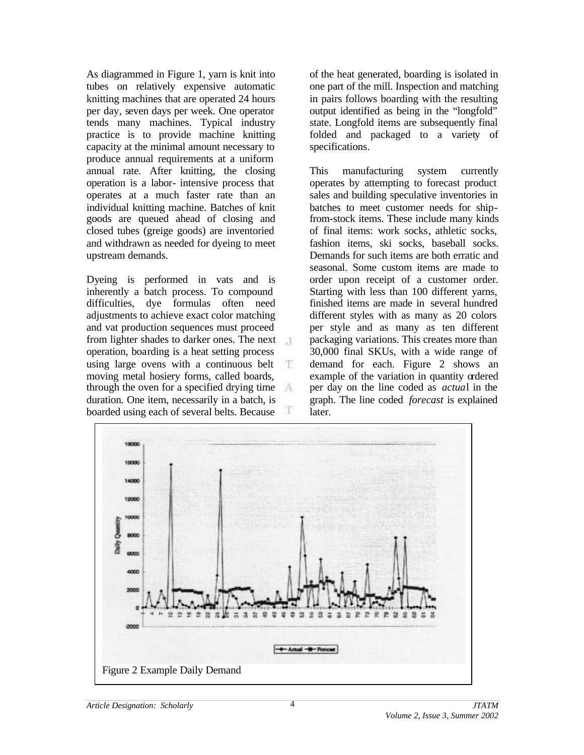As diagrammed in Figure 1, yarn is knit into tubes on relatively expensive automatic knitting machines that are operated 24 hours per day, seven days per week. One operator tends many machines. Typical industry practice is to provide machine knitting capacity at the minimal amount necessary to produce annual requirements at a uniform annual rate. After knitting, the closing operation is a labor- intensive process that operates at a much faster rate than an individual knitting machine. Batches of knit goods are queued ahead of closing and closed tubes (greige goods) are inventoried and withdrawn as needed for dyeing to meet upstream demands.

Dyeing is performed in vats and is inherently a batch process. To compound difficulties, dye formulas often need adjustments to achieve exact color matching and vat production sequences must proceed from lighter shades to darker ones. The next operation, boarding is a heat setting process using large ovens with a continuous belt T. moving metal hosiery forms, called boards, through the oven for a specified drying time duration. One item, necessarily in a batch, is Ŧ boarded using each of several belts. Because

of the heat generated, boarding is isolated in one part of the mill. Inspection and matching in pairs follows boarding with the resulting output identified as being in the "longfold" state. Longfold items are subsequently final folded and packaged to a variety of specifications.

This manufacturing system currently operates by attempting to forecast product sales and building speculative inventories in batches to meet customer needs for shipfrom-stock items. These include many kinds of final items: work socks, athletic socks, fashion items, ski socks, baseball socks. Demands for such items are both erratic and seasonal. Some custom items are made to order upon receipt of a customer order. Starting with less than 100 different yarns, finished items are made in several hundred different styles with as many as 20 colors per style and as many as ten different packaging variations. This creates more than 30,000 final SKUs, with a wide range of demand for each. Figure 2 shows an example of the variation in quantity ordered per day on the line coded as *actua*l in the graph. The line coded *forecast* is explained later.

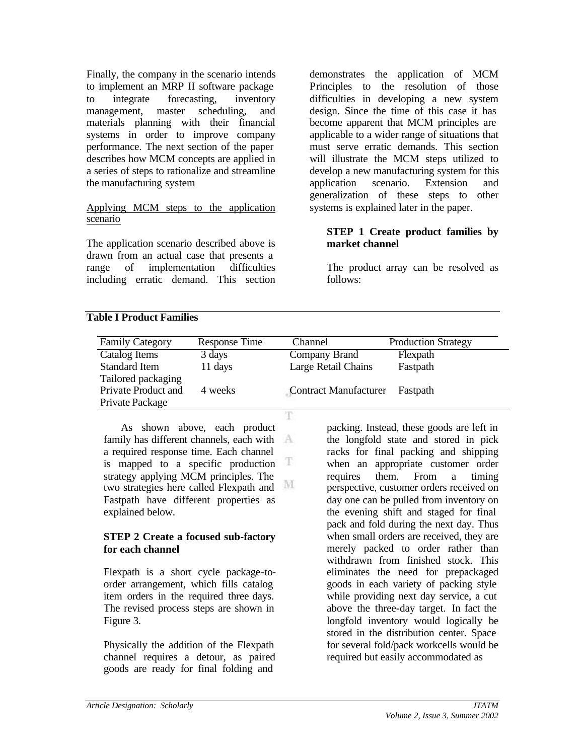Finally, the company in the scenario intends to implement an MRP II software package to integrate forecasting, inventory management, master scheduling, and materials planning with their financial systems in order to improve company performance. The next section of the paper describes how MCM concepts are applied in a series of steps to rationalize and streamline the manufacturing system

#### Applying MCM steps to the application scenario

The application scenario described above is drawn from an actual case that presents a range of implementation difficulties including erratic demand. This section demonstrates the application of MCM Principles to the resolution of those difficulties in developing a new system design. Since the time of this case it has become apparent that MCM principles are applicable to a wider range of situations that must serve erratic demands. This section will illustrate the MCM steps utilized to develop a new manufacturing system for this application scenario. Extension and generalization of these steps to other systems is explained later in the paper.

## **STEP 1 Create product families by market channel**

The product array can be resolved as follows:

### **Table I Product Families**

| <b>Family Category</b> | Response Time | Channel               | <b>Production Strategy</b> |
|------------------------|---------------|-----------------------|----------------------------|
| Catalog Items          | 3 days        | Company Brand         | Flexpath                   |
| <b>Standard Item</b>   | 11 days       | Large Retail Chains   | Fastpath                   |
| Tailored packaging     |               |                       |                            |
| Private Product and    | 4 weeks       | Contract Manufacturer | Fastpath                   |
| Private Package        |               |                       |                            |
|                        |               |                       |                            |

As shown above, each product family has different channels, each with  $A$ a required response time. Each channel Ŧ is mapped to a specific production strategy applying MCM principles. The M two strategies here called Flexpath and Fastpath have different properties as explained below.

### **STEP 2 Create a focused sub-factory for each channel**

Flexpath is a short cycle package-toorder arrangement, which fills catalog item orders in the required three days. The revised process steps are shown in Figure 3.

Physically the addition of the Flexpath channel requires a detour, as paired goods are ready for final folding and

packing. Instead, these goods are left in the longfold state and stored in pick racks for final packing and shipping when an appropriate customer order requires them. From a timing perspective, customer orders received on day one can be pulled from inventory on the evening shift and staged for final pack and fold during the next day. Thus when small orders are received, they are merely packed to order rather than withdrawn from finished stock. This eliminates the need for prepackaged goods in each variety of packing style while providing next day service, a cut above the three-day target. In fact the longfold inventory would logically be stored in the distribution center. Space for several fold/pack workcells would be required but easily accommodated as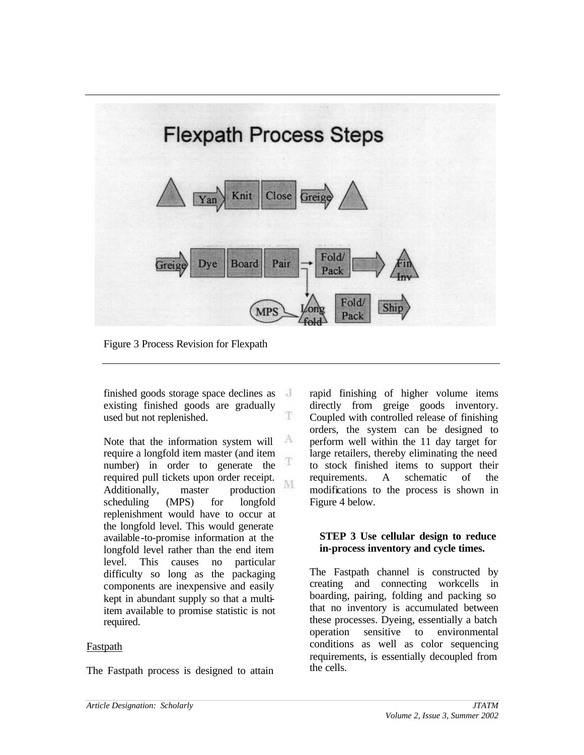

Figure 3 Process Revision for Flexpath

finished goods storage space declines as existing finished goods are gradually T used but not replenished.

А Note that the information system will require a longfold item master (and item T number) in order to generate the required pull tickets upon order receipt. M Additionally, master production scheduling (MPS) for longfold replenishment would have to occur at the longfold level. This would generate available-to-promise information at the longfold level rather than the end item level. This causes no particular difficulty so long as the packaging components are inexpensive and easily kept in abundant supply so that a multiitem available to promise statistic is not required.

## Fastpath

The Fastpath process is designed to attain

rapid finishing of higher volume items directly from greige goods inventory. Coupled with controlled release of finishing orders, the system can be designed to perform well within the 11 day target for large retailers, thereby eliminating the need to stock finished items to support their requirements. A schematic of the modifications to the process is shown in Figure 4 below.

### **STEP 3 Use cellular design to reduce in-process inventory and cycle times.**

The Fastpath channel is constructed by creating and connecting workcells in boarding, pairing, folding and packing so that no inventory is accumulated between these processes. Dyeing, essentially a batch operation sensitive to environmental conditions as well as color sequencing requirements, is essentially decoupled from the cells.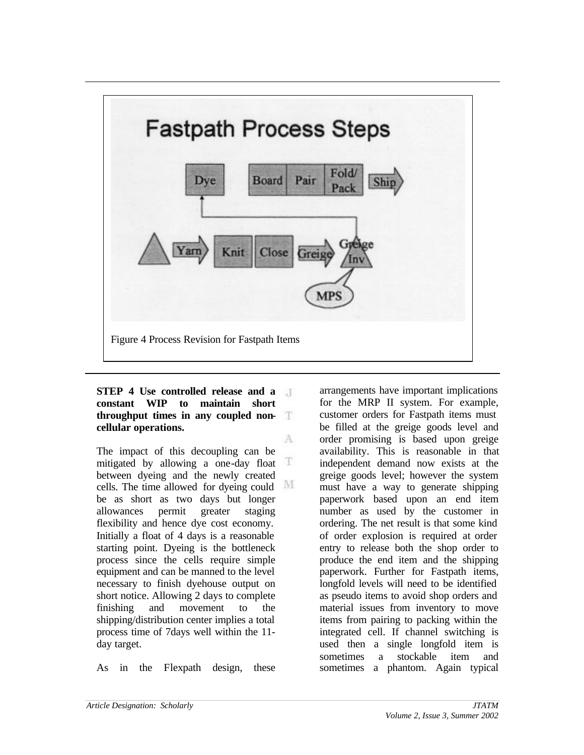

A

**STEP 4 Use controlled release and a**  $\mathcal{A}$ **constant WIP to maintain short throughput times in any coupled non-T cellular operations.**

The impact of this decoupling can be T mitigated by allowing a one-day float between dyeing and the newly created M cells. The time allowed for dyeing could be as short as two days but longer allowances permit greater staging flexibility and hence dye cost economy. Initially a float of 4 days is a reasonable starting point. Dyeing is the bottleneck process since the cells require simple equipment and can be manned to the level necessary to finish dyehouse output on short notice. Allowing 2 days to complete finishing and movement to the shipping/distribution center implies a total process time of 7days well within the 11 day target.

As in the Flexpath design, these

arrangements have important implications for the MRP II system. For example, customer orders for Fastpath items must be filled at the greige goods level and order promising is based upon greige availability. This is reasonable in that independent demand now exists at the greige goods level; however the system must have a way to generate shipping paperwork based upon an end item number as used by the customer in ordering. The net result is that some kind of order explosion is required at order entry to release both the shop order to produce the end item and the shipping paperwork. Further for Fastpath items, longfold levels will need to be identified as pseudo items to avoid shop orders and material issues from inventory to move items from pairing to packing within the integrated cell. If channel switching is used then a single longfold item is sometimes a stockable item and sometimes a phantom. Again typical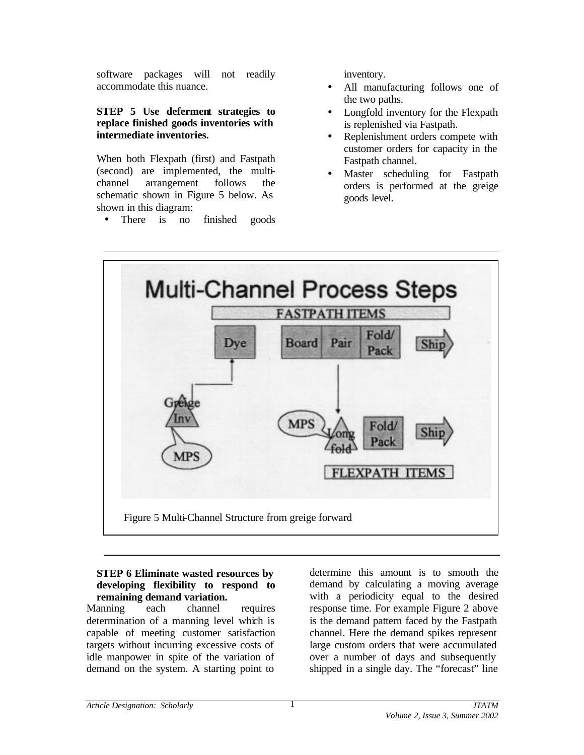software packages will not readily accommodate this nuance.

## **STEP 5 Use deferment strategies to replace finished goods inventories with intermediate inventories.**

When both Flexpath (first) and Fastpath (second) are implemented, the multichannel arrangement follows the schematic shown in Figure 5 below. As shown in this diagram:

• There is no finished goods

inventory.

- All manufacturing follows one of the two paths.
- Longfold inventory for the Flexpath is replenished via Fastpath.
- Replenishment orders compete with customer orders for capacity in the Fastpath channel.
- Master scheduling for Fastpath orders is performed at the greige goods level.



## **STEP 6 Eliminate wasted resources by developing flexibility to respond to remaining demand variation.**

Manning each channel requires determination of a manning level which is capable of meeting customer satisfaction targets without incurring excessive costs of idle manpower in spite of the variation of demand on the system. A starting point to

determine this amount is to smooth the demand by calculating a moving average with a periodicity equal to the desired response time. For example Figure 2 above is the demand pattern faced by the Fastpath channel. Here the demand spikes represent large custom orders that were accumulated over a number of days and subsequently shipped in a single day. The "forecast" line

1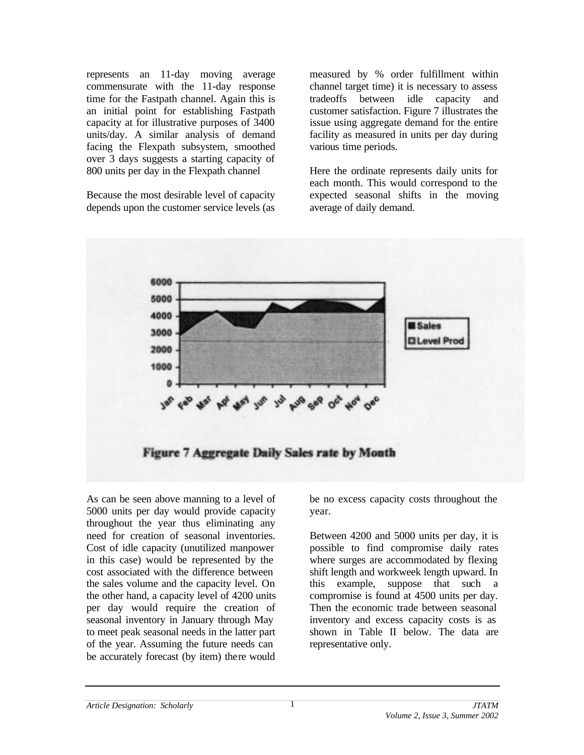represents an 11-day moving average commensurate with the 11-day response time for the Fastpath channel. Again this is an initial point for establishing Fastpath capacity at for illustrative purposes of 3400 units/day. A similar analysis of demand facing the Flexpath subsystem, smoothed over 3 days suggests a starting capacity of 800 units per day in the Flexpath channel

Because the most desirable level of capacity depends upon the customer service levels (as measured by % order fulfillment within channel target time) it is necessary to assess tradeoffs between idle capacity and customer satisfaction. Figure 7 illustrates the issue using aggregate demand for the entire facility as measured in units per day during various time periods.

Here the ordinate represents daily units for each month. This would correspond to the expected seasonal shifts in the moving average of daily demand.



As can be seen above manning to a level of 5000 units per day would provide capacity throughout the year thus eliminating any need for creation of seasonal inventories. Cost of idle capacity (unutilized manpower in this case) would be represented by the cost associated with the difference between the sales volume and the capacity level. On the other hand, a capacity level of 4200 units per day would require the creation of seasonal inventory in January through May to meet peak seasonal needs in the latter part of the year. Assuming the future needs can be accurately forecast (by item) there would

be no excess capacity costs throughout the year.

Between 4200 and 5000 units per day, it is possible to find compromise daily rates where surges are accommodated by flexing shift length and workweek length upward. In this example, suppose that such a compromise is found at 4500 units per day. Then the economic trade between seasonal inventory and excess capacity costs is as shown in Table II below. The data are representative only.

1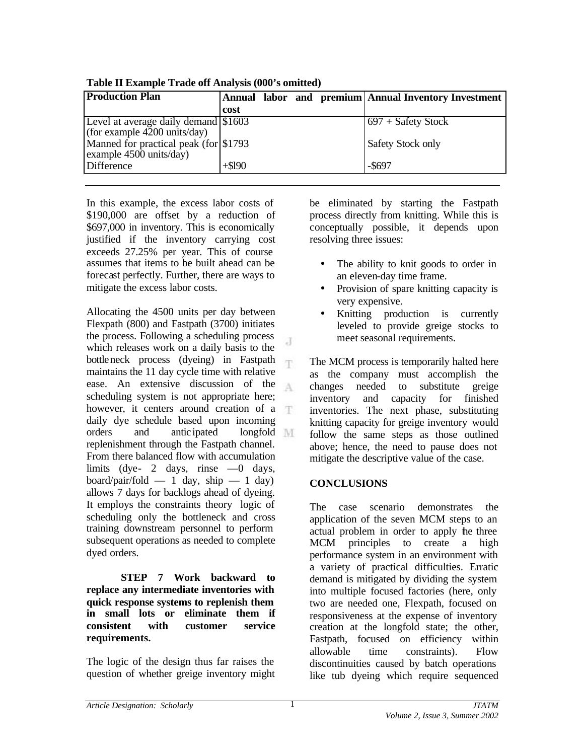| <b>Production Plan</b>                  |          |  | Annual labor and premium Annual Inventory Investment |
|-----------------------------------------|----------|--|------------------------------------------------------|
|                                         | cost     |  |                                                      |
| Level at average daily demand \$1603    |          |  | $697 +$ Safety Stock                                 |
| (for example $4200$ units/day)          |          |  |                                                      |
| Manned for practical peak (for \\$1793) |          |  | Safety Stock only                                    |
| example 4500 units/day)                 |          |  |                                                      |
| Difference                              | $+ $190$ |  | $-$ \$697                                            |

**Table II Example Trade off Analysis (000's omitted)**

In this example, the excess labor costs of \$190,000 are offset by a reduction of \$697,000 in inventory. This is economically justified if the inventory carrying cost exceeds 27.25% per year. This of course assumes that items to be built ahead can be forecast perfectly. Further, there are ways to mitigate the excess labor costs.

Allocating the 4500 units per day between Flexpath (800) and Fastpath (3700) initiates the process. Following a scheduling process J which releases work on a daily basis to the bottleneck process (dyeing) in Fastpath T maintains the 11 day cycle time with relative ease. An extensive discussion of the scheduling system is not appropriate here; however, it centers around creation of a daily dye schedule based upon incoming orders and antic ipated longfold replenishment through the Fastpath channel. From there balanced flow with accumulation limits (dye- 2 days, rinse —0 days, board/pair/fold — 1 day, ship — 1 day) allows 7 days for backlogs ahead of dyeing. It employs the constraints theory logic of scheduling only the bottleneck and cross training downstream personnel to perform subsequent operations as needed to complete dyed orders.

**STEP 7 Work backward to replace any intermediate inventories with quick response systems to replenish them in small lots or eliminate them if consistent with customer service requirements.**

The logic of the design thus far raises the question of whether greige inventory might be eliminated by starting the Fastpath process directly from knitting. While this is conceptually possible, it depends upon resolving three issues:

- The ability to knit goods to order in an eleven-day time frame.
- Provision of spare knitting capacity is very expensive.
- Knitting production is currently leveled to provide greige stocks to meet seasonal requirements.

The MCM process is temporarily halted here as the company must accomplish the changes needed to substitute greige inventory and capacity for finished inventories. The next phase, substituting knitting capacity for greige inventory would follow the same steps as those outlined above; hence, the need to pause does not mitigate the descriptive value of the case.

# **CONCLUSIONS**

The case scenario demonstrates the application of the seven MCM steps to an actual problem in order to apply the three MCM principles to create a high performance system in an environment with a variety of practical difficulties. Erratic demand is mitigated by dividing the system into multiple focused factories (here, only two are needed one, Flexpath, focused on responsiveness at the expense of inventory creation at the longfold state; the other, Fastpath, focused on efficiency within allowable time constraints). Flow discontinuities caused by batch operations like tub dyeing which require sequenced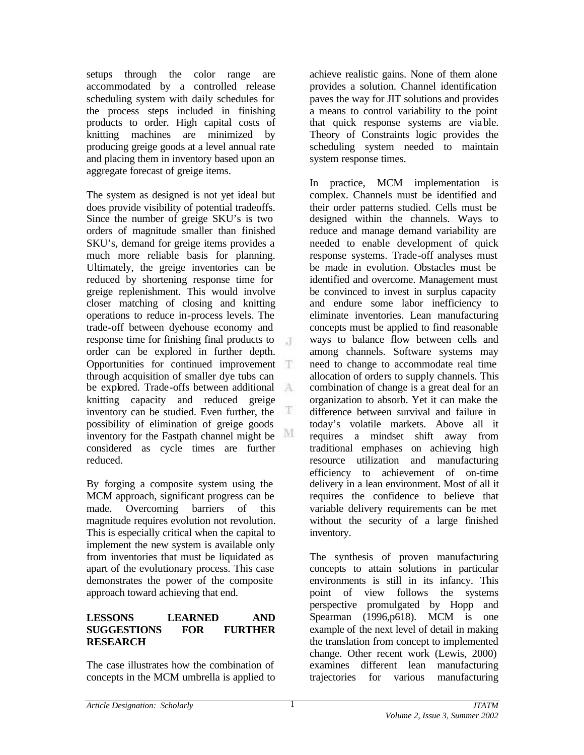setups through the color range are accommodated by a controlled release scheduling system with daily schedules for the process steps included in finishing products to order. High capital costs of knitting machines are minimized by producing greige goods at a level annual rate and placing them in inventory based upon an aggregate forecast of greige items.

The system as designed is not yet ideal but does provide visibility of potential tradeoffs. Since the number of greige SKU's is two orders of magnitude smaller than finished SKU's, demand for greige items provides a much more reliable basis for planning. Ultimately, the greige inventories can be reduced by shortening response time for greige replenishment. This would involve closer matching of closing and knitting operations to reduce in-process levels. The trade-off between dyehouse economy and response time for finishing final products to  $\mathbb{R}^2$ order can be explored in further depth. Opportunities for continued improvement through acquisition of smaller dye tubs can be explored. Trade-offs between additional knitting capacity and reduced greige T inventory can be studied. Even further, the possibility of elimination of greige goods M inventory for the Fastpath channel might be considered as cycle times are further reduced.

By forging a composite system using the MCM approach, significant progress can be made. Overcoming barriers of this magnitude requires evolution not revolution. This is especially critical when the capital to implement the new system is available only from inventories that must be liquidated as apart of the evolutionary process. This case demonstrates the power of the composite approach toward achieving that end.

## **LESSONS LEARNED AND SUGGESTIONS FOR FURTHER RESEARCH**

The case illustrates how the combination of concepts in the MCM umbrella is applied to achieve realistic gains. None of them alone provides a solution. Channel identification paves the way for JIT solutions and provides a means to control variability to the point that quick response systems are viable. Theory of Constraints logic provides the scheduling system needed to maintain system response times.

In practice, MCM implementation is complex. Channels must be identified and their order patterns studied. Cells must be designed within the channels. Ways to reduce and manage demand variability are needed to enable development of quick response systems. Trade-off analyses must be made in evolution. Obstacles must be identified and overcome. Management must be convinced to invest in surplus capacity and endure some labor inefficiency to eliminate inventories. Lean manufacturing concepts must be applied to find reasonable ways to balance flow between cells and among channels. Software systems may need to change to accommodate real time allocation of orders to supply channels. This combination of change is a great deal for an organization to absorb. Yet it can make the difference between survival and failure in today's volatile markets. Above all it requires a mindset shift away from traditional emphases on achieving high resource utilization and manufacturing efficiency to achievement of on-time delivery in a lean environment. Most of all it requires the confidence to believe that variable delivery requirements can be met without the security of a large finished inventory.

The synthesis of proven manufacturing concepts to attain solutions in particular environments is still in its infancy. This point of view follows the systems perspective promulgated by Hopp and Spearman (1996,p618). MCM is one example of the next level of detail in making the translation from concept to implemented change. Other recent work (Lewis, 2000) examines different lean manufacturing trajectories for various manufacturing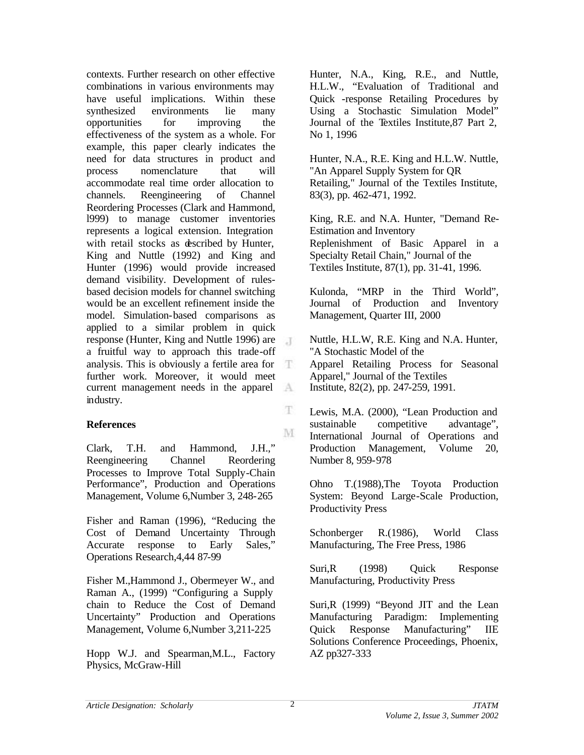contexts. Further research on other effective combinations in various environments may have useful implications. Within these synthesized environments lie many opportunities for improving the effectiveness of the system as a whole. For example, this paper clearly indicates the need for data structures in product and process nomenclature that will accommodate real time order allocation to channels. Reengineering of Channel Reordering Processes (Clark and Hammond, l999) to manage customer inventories represents a logical extension. Integration with retail stocks as described by Hunter, King and Nuttle (1992) and King and Hunter (1996) would provide increased demand visibility. Development of rulesbased decision models for channel switching would be an excellent refinement inside the model. Simulation-based comparisons as applied to a similar problem in quick response (Hunter, King and Nuttle 1996) are J a fruitful way to approach this trade-off analysis. This is obviously a fertile area for Ŧ further work. Moreover, it would meet current management needs in the apparel  $A$ industry.

## **References**

Clark, T.H. and Hammond, J.H.," Reengineering Channel Reordering Processes to Improve Total Supply-Chain Performance", Production and Operations Management, Volume 6,Number 3, 248-265

Fisher and Raman (1996), "Reducing the Cost of Demand Uncertainty Through Accurate response to Early Sales," Operations Research,4,44 87-99

Fisher M.,Hammond J., Obermeyer W., and Raman A., (1999) "Configuring a Supply chain to Reduce the Cost of Demand Uncertainty" Production and Operations Management, Volume 6,Number 3,211-225

Hopp W.J. and Spearman,M.L., Factory Physics, McGraw-Hill

Hunter, N.A., King, R.E., and Nuttle, H.L.W., "Evaluation of Traditional and Quick -response Retailing Procedures by Using a Stochastic Simulation Model" Journal of the Textiles Institute,87 Part 2, No 1, 1996

Hunter, N.A., R.E. King and H.L.W. Nuttle, "An Apparel Supply System for QR Retailing," Journal of the Textiles Institute, 83(3), pp. 462-471, 1992.

King, R.E. and N.A. Hunter, "Demand Re-Estimation and Inventory Replenishment of Basic Apparel in a Specialty Retail Chain," Journal of the Textiles Institute, 87(1), pp. 31-41, 1996.

Kulonda, "MRP in the Third World", Journal of Production and Inventory Management, Quarter III, 2000

Nuttle, H.L.W, R.E. King and N.A. Hunter, "A Stochastic Model of the Apparel Retailing Process for Seasonal Apparel," Journal of the Textiles Institute, 82(2), pp. 247-259, 1991.

Lewis, M.A. (2000), "Lean Production and sustainable competitive advantage", International Journal of Operations and Production Management, Volume 20, Number 8, 959-978

Ohno T.(1988),The Toyota Production System: Beyond Large-Scale Production, Productivity Press

Schonberger R.(1986), World Class Manufacturing, The Free Press, 1986

Suri,R (1998) Quick Response Manufacturing, Productivity Press

Suri,R (1999) "Beyond JIT and the Lean Manufacturing Paradigm: Implementing Quick Response Manufacturing" IIE Solutions Conference Proceedings, Phoenix, AZ pp327-333

Ŧ.

M